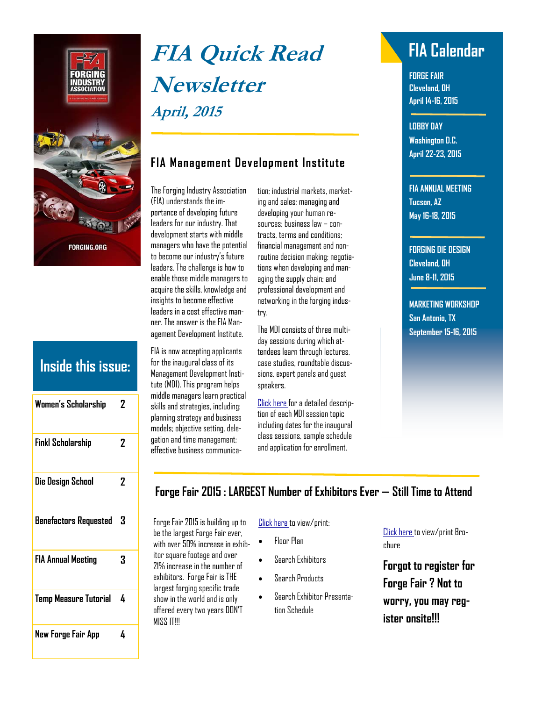

# **Inside this issue:**

| Women's Scholarship          | 2 |
|------------------------------|---|
| <b>Finkl Scholarship</b>     | 2 |
| Die Design School            | 2 |
| <b>Benefactors Requested</b> | 3 |
| <b>FIA Annual Meeting</b>    | 3 |
| <b>Temp Measure Tutorial</b> | 4 |
| New Forge Fair App           | 4 |

# **FIA Quick Read FIA Calendar Newsletter April, 2015**

### **FIA Management Development Institute**

The Forging Industry Association (FIA) understands the importance of developing future leaders for our industry. That development starts with middle managers who have the potential to become our industry's future leaders. The challenge is how to enable those middle managers to acquire the skills, knowledge and insights to become effective leaders in a cost effective manner. The answer is the FIA Management Development Institute.

FIA is now accepting applicants for the inaugural class of its Management Development Institute (MDI). This program helps middle managers learn practical skills and strategies, including: planning strategy and business models; objective setting, delegation and time management; effective business communication; industrial markets, marketing and sales; managing and developing your human resources; business law – contracts, terms and conditions; financial management and nonroutine decision making; negotiations when developing and managing the supply chain; and professional development and networking in the forging industry.

The MDI consists of three multiday sessions during which attendees learn through lectures, case studies, roundtable discussions, expert panels and guest speakers.

[Click here f](https://www.forging.org/system/files/field_document/MDIBrochure_0.pdf)or a detailed description of each MDI session topic including dates for the inaugural class sessions, sample schedule and application for enrollment.

**FORGE FAIR Cleveland, OH April 14-16, 2015** 

**LOBBY DAY Washington D.C. April 22-23, 2015** 

**FIA ANNUAL MEETING Tucson, AZ May 16-18, 2015** 

**FORGING DIE DESIGN Cleveland, OH June 8-11, 2015** 

**MARKETING WORKSHOP San Antonio, TX September 15-16, 2015** 

#### **Forge Fair 2015 : LARGEST Number of Exhibitors Ever — Still Time to Attend**

Forge Fair 2015 is building up to be the largest Forge Fair ever, with over 50% increase in exhibitor square footage and over 21% increase in the number of exhibitors. Forge Fair is THE largest forging specific trade show in the world and is only offered every two years DON'T MISS IT!!!

#### [Click here](http://forge15.mapyourshow.com/6_0/search.cfm) to view/print:

- Floor Plan
- Search Exhibitors
- Search Products
- Search Exhibitor Presentation Schedule

[Click here](https://www.forging.org/system/files/public/PDF/ForgeFair_AttendeeBro_Final.pdf) to view/print Brochure

**Forgot to register for Forge Fair ? Not to worry, you may register onsite!!!**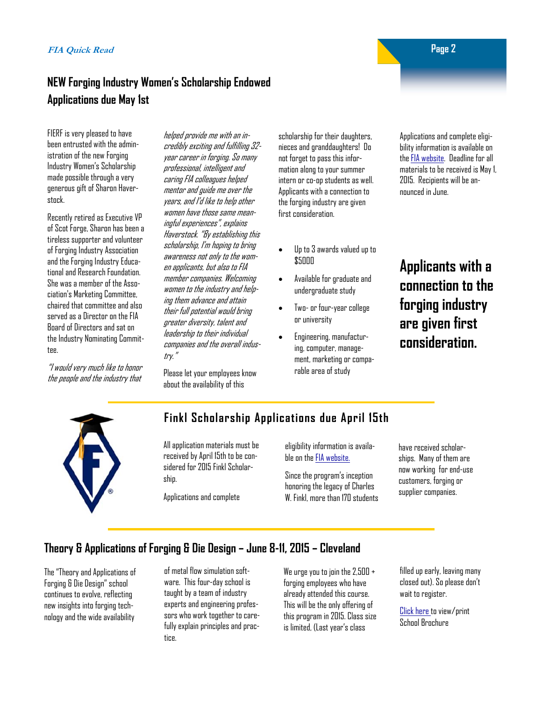#### **NEW Forging Industry Women's Scholarship Endowed Applications due May 1st**

FIERF is very pleased to have been entrusted with the administration of the new Forging Industry Women's Scholarship made possible through a very generous gift of Sharon Haverstock.

Recently retired as Executive VP of Scot Forge, Sharon has been a tireless supporter and volunteer of Forging Industry Association and the Forging Industry Educational and Research Foundation. She was a member of the Association's Marketing Committee, chaired that committee and also served as a Director on the FIA Board of Directors and sat on the Industry Nominating Committee.

"I would very much like to honor the people and the industry that

helped provide me with an incredibly exciting and fulfilling 32 year career in forging. So many professional, intelligent and caring FIA colleagues helped mentor and guide me over the years, and I'd like to help other women have those same meaningful experiences", explains Haverstock. "By establishing this scholarship, I'm hoping to bring awareness not only to the women applicants, but also to FIA member companies. Welcoming women to the industry and helping them advance and attain their full potential would bring greater diversity, talent and leadership to their individual companies and the overall industry."

Please let your employees know about the availability of this

scholarship for their daughters, nieces and granddaughters! Do not forget to pass this information along to your summer intern or co-op students as well. Applicants with a connection to the forging industry are given first consideration.

- Up to 3 awards valued up to \$5000
- Available for graduate and undergraduate study
- Two- or four-year college or university
- Engineering, manufacturing, computer, management, marketing or comparable area of study

Applications and complete eligibility information is available on the [FIA website.](http://sms.scholarshipamerica.org/forgingw/) Deadline for all materials to be received is May 1, 2015. Recipients will be announced in June.

# **Applicants with a connection to the forging industry are given first consideration.**



#### **Finkl Scholarship Applications due April 15th**

All application materials must be received by April 15th to be considered for 2015 Finkl Scholarship.

Applications and complete

eligibility information is available on the [FIA website.](http://sms.scholarshipamerica.org/forging/) 

Since the program's inception honoring the legacy of Charles W. Finkl, more than 170 students have received scholarships. Many of them are now working for end-use customers, forging or supplier companies.

#### **Theory & Applications of Forging & Die Design – June 8-11, 2015 – Cleveland**

The "Theory and Applications of Forging & Die Design" school continues to evolve, reflecting new insights into forging technology and the wide availability

of metal flow simulation software. This four-day school is taught by a team of industry experts and engineering professors who work together to carefully explain principles and practice.

We urge you to join the 2,500 + forging employees who have already attended this course. This will be the only offering of this program in 2015. Class size is limited, (Last year's class

filled up early, leaving many closed out). So please don't wait to register.

[Click here t](https://www.forging.org/system/files/public/2015 Die School Program Sml.pdf)o view/print School Brochure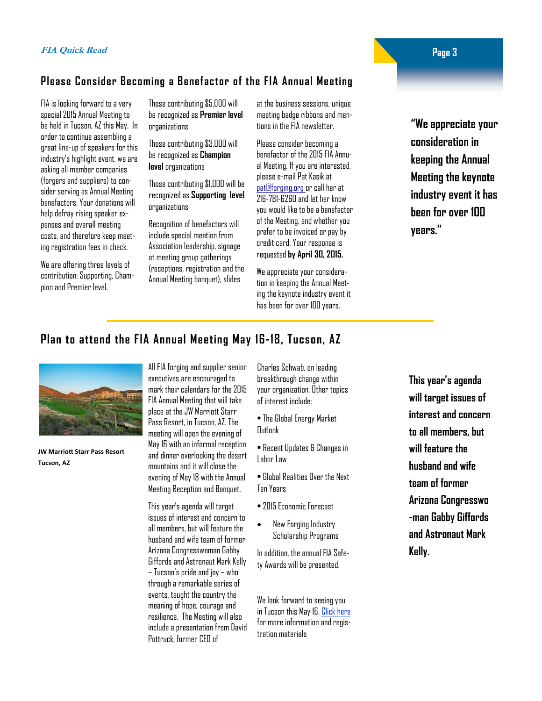#### **Please Consider Becoming a Benefactor of the FIA Annual Meeting**

FIA is looking forward to a very special 2015 Annual Meeting to be held in Tucson, AZ this May. In order to continue assembling a great line-up of speakers for this industry's highlight event, we are asking all member companies (forgers and suppliers) to consider serving as Annual Meeting benefactors. Your donations will help defray rising speaker expenses and overall meeting costs, and therefore keep meeting registration fees in check.

We are offering three levels of contribution: Supporting, Champion and Premier level.

Those contributing \$5,000 will be recognized as **Premier level**  organizations

Those contributing \$3,000 will be recognized as **Champion level** organizations

Those contributing \$1,000 will be recognized as **Supporting level**  organizations

Recognition of benefactors will include special mention from Association leadership, signage at meeting group gatherings (receptions, registration and the Annual Meeting banquet), slides

at the business sessions, unique meeting badge ribbons and mentions in the FIA newsletter.

Please consider becoming a benefactor of the 2015 FIA Annual Meeting. If you are interested, please e-mail Pat Kasik at pat@forging.org or call her at 216-781-6260 and let her know you would like to be a benefactor of the Meeting, and whether you prefer to be invoiced or pay by credit card. Your response is requested **by April 30, 2015.** 

We appreciate your consideration in keeping the Annual Meeting the keynote industry event it has been for over 100 years.

**"We appreciate your consideration in keeping the Annual Meeting the keynote industry event it has been for over 100 years."** 

#### **Plan to attend the FIA Annual Meeting May 16-18, Tucson, AZ**



**JW MarrioƩ Starr Pass Resort Tucson, AZ** 

All FIA forging and supplier senior executives are encouraged to mark their calendars for the 2015 FIA Annual Meeting that will take place at the JW Marriott Starr Pass Resort, in Tucson, AZ. The meeting will open the evening of May 16 with an informal reception and dinner overlooking the desert mountains and it will close the evening of May 18 with the Annual Meeting Reception and Banquet.

This year's agenda will target issues of interest and concern to all members, but will feature the husband and wife team of former Arizona Congresswoman Gabby Giffords and Astronaut Mark Kelly – Tucson's pride and joy – who through a remarkable series of events, taught the country the meaning of hope, courage and resilience. The Meeting will also include a presentation from David Pottruck, former CEO of

Charles Schwab, on leading breakthrough change within your organization. Other topics of interest include:

- The Global Energy Market **Outlank**
- Recent Updates & Changes in Labor Law
- Global Realities Over the Next Ten Years
- 2015 Economic Forecast
- New Forging Industry Scholarship Programs

In addition, the annual FIA Safety Awards will be presented.

We look forward to seeing you in Tucson this May 16. [Click here](https://www.forging.org/events/fia-annual-meeting-members) for more information and registration materials

**This year's agenda will target issues of interest and concern to all members, but will feature the husband and wife team of former Arizona Congresswo -man Gabby Giffords and Astronaut Mark Kelly.** 

 **Page 3**